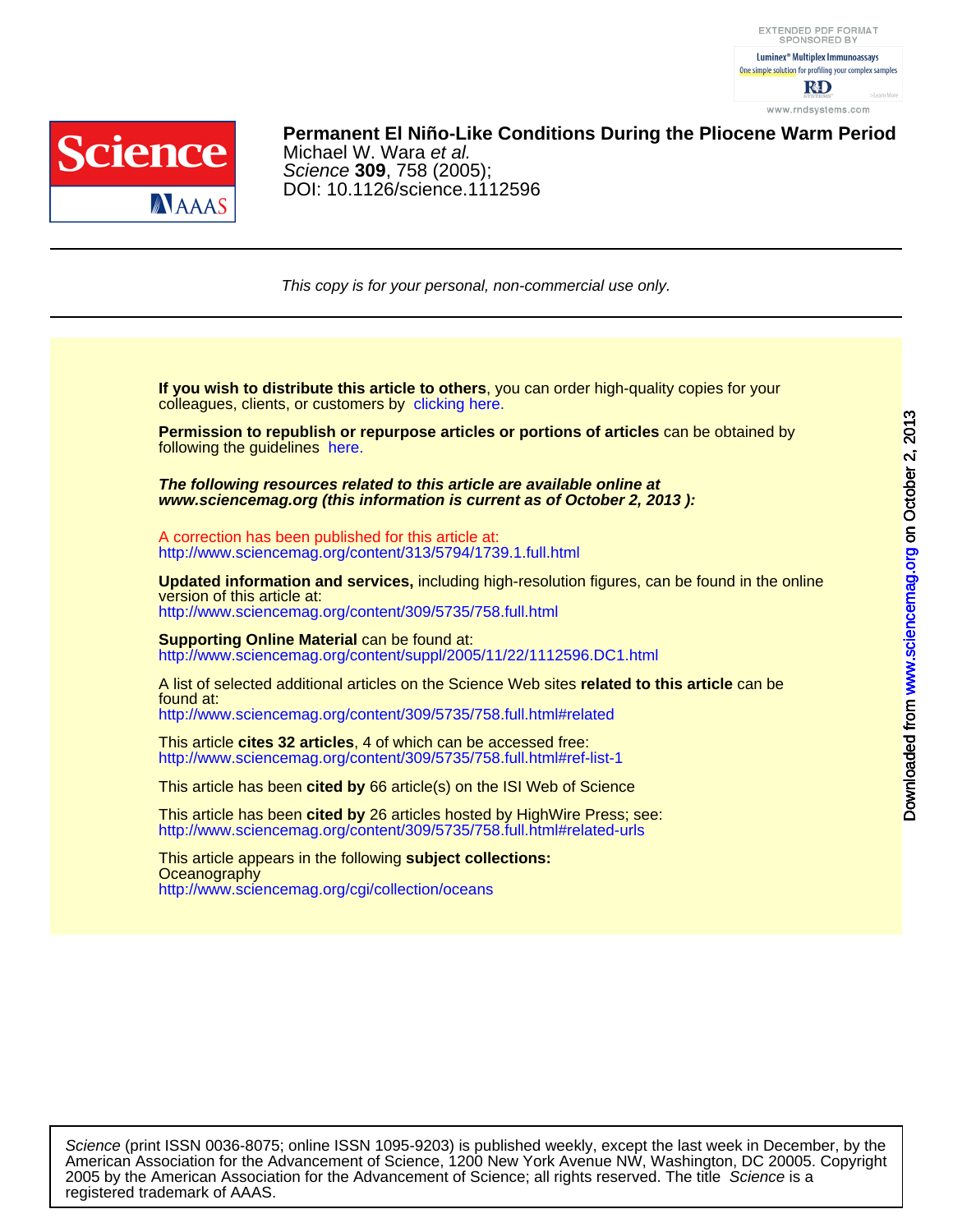



## **Permanent El Niño-Like Conditions During the Pliocene Warm Period**

DOI: 10.1126/science.1112596 Science **309**, 758 (2005); Michael W. Wara et al.

This copy is for your personal, non-commercial use only.

colleagues, clients, or customers by [clicking here.](http://www.sciencemag.org/about/permissions.dtl) **If you wish to distribute this article to others**, you can order high-quality copies for your

following the guidelines [here.](http://www.sciencemag.org/about/permissions.dtl) **Permission to republish or repurpose articles or portions of articles** can be obtained by

**www.sciencemag.org (this information is current as of October 2, 2013 ): The following resources related to this article are available online at**

<http://www.sciencemag.org/content/313/5794/1739.1.full.html> A correction has been published for this article at:

<http://www.sciencemag.org/content/309/5735/758.full.html> version of this article at: **Updated information and services,** including high-resolution figures, can be found in the online

http://www.sciencemag.org/content/suppl/2005/11/22/1112596.DC1.html **Supporting Online Material can be found at:** 

<http://www.sciencemag.org/content/309/5735/758.full.html#related> found at: A list of selected additional articles on the Science Web sites **related to this article** can be

<http://www.sciencemag.org/content/309/5735/758.full.html#ref-list-1> This article **cites 32 articles**, 4 of which can be accessed free:

This article has been **cited by** 66 article(s) on the ISI Web of Science

<http://www.sciencemag.org/content/309/5735/758.full.html#related-urls> This article has been **cited by** 26 articles hosted by HighWire Press; see:

<http://www.sciencemag.org/cgi/collection/oceans> **Oceanography** This article appears in the following **subject collections:**

registered trademark of AAAS. 2005 by the American Association for the Advancement of Science; all rights reserved. The title Science is a American Association for the Advancement of Science, 1200 New York Avenue NW, Washington, DC 20005. Copyright Science (print ISSN 0036-8075; online ISSN 1095-9203) is published weekly, except the last week in December, by the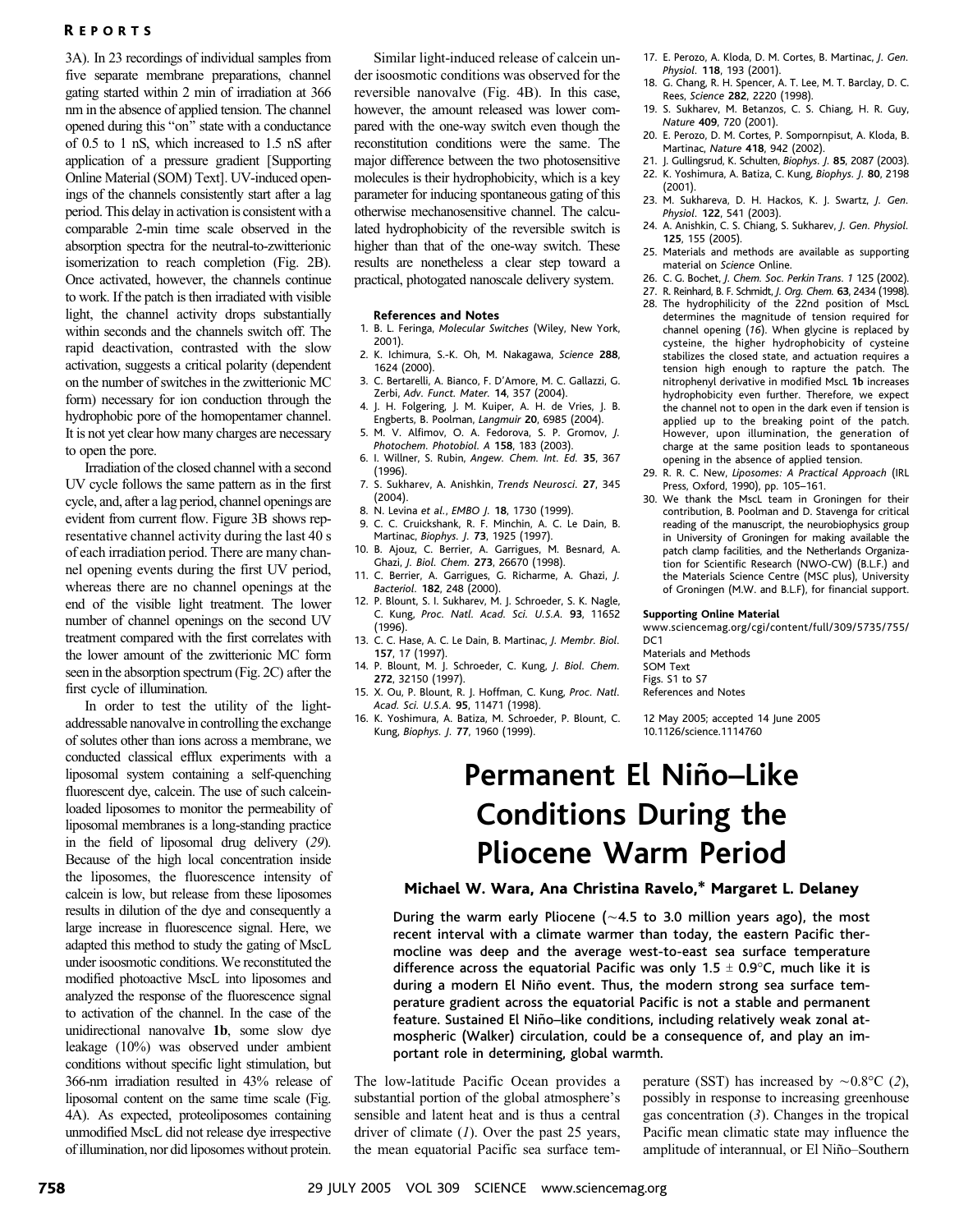## **REPORTS**

3A). In 23 recordings of individual samples from five separate membrane preparations, channel gating started within 2 min of irradiation at 366 nm in the absence of applied tension. The channel opened during this "on" state with a conductance of 0.5 to 1 nS, which increased to 1.5 nS after application of a pressure gradient [Supporting] Online Material (SOM) Text^. UV-induced openings of the channels consistently start after a lag period. This delay in activation is consistent with a comparable 2-min time scale observed in the absorption spectra for the neutral-to-zwitterionic isomerization to reach completion (Fig. 2B). Once activated, however, the channels continue to work. If the patch is then irradiated with visible light, the channel activity drops substantially within seconds and the channels switch off. The rapid deactivation, contrasted with the slow activation, suggests a critical polarity (dependent on the number of switches in the zwitterionic MC form) necessary for ion conduction through the hydrophobic pore of the homopentamer channel. It is not yet clear how many charges are necessary to open the pore.

Irradiation of the closed channel with a second UV cycle follows the same pattern as in the first cycle, and, after a lag period, channel openings are evident from current flow. Figure 3B shows representative channel activity during the last 40 s of each irradiation period. There are many channel opening events during the first UV period, whereas there are no channel openings at the end of the visible light treatment. The lower number of channel openings on the second UV treatment compared with the first correlates with the lower amount of the zwitterionic MC form seen in the absorption spectrum (Fig. 2C) after the first cycle of illumination.

In order to test the utility of the lightaddressable nanovalve in controlling the exchange of solutes other than ions across a membrane, we conducted classical efflux experiments with a liposomal system containing a self-quenching fluorescent dye, calcein. The use of such calceinloaded liposomes to monitor the permeability of liposomal membranes is a long-standing practice in the field of liposomal drug delivery (29). Because of the high local concentration inside the liposomes, the fluorescence intensity of calcein is low, but release from these liposomes results in dilution of the dye and consequently a large increase in fluorescence signal. Here, we adapted this method to study the gating of MscL under isoosmotic conditions. We reconstituted the modified photoactive MscL into liposomes and analyzed the response of the fluorescence signal to activation of the channel. In the case of the unidirectional nanovalve 1b, some slow dye leakage (10%) was observed under ambient conditions without specific light stimulation, but 366-nm irradiation resulted in 43% release of liposomal content on the same time scale (Fig. 4A). As expected, proteoliposomes containing unmodified MscL did not release dye irrespective of illumination, nor did liposomes without protein.

Similar light-induced release of calcein under isoosmotic conditions was observed for the reversible nanovalve (Fig. 4B). In this case, however, the amount released was lower compared with the one-way switch even though the reconstitution conditions were the same. The major difference between the two photosensitive molecules is their hydrophobicity, which is a key parameter for inducing spontaneous gating of this otherwise mechanosensitive channel. The calculated hydrophobicity of the reversible switch is higher than that of the one-way switch. These results are nonetheless a clear step toward a practical, photogated nanoscale delivery system.

#### References and Notes

- 1. B. L. Feringa, Molecular Switches (Wiley, New York, 2001).
- 2. K. Ichimura, S.-K. Oh, M. Nakagawa, Science 288, 1624 (2000).
- 3. C. Bertarelli, A. Bianco, F. D'Amore, M. C. Gallazzi, G. Zerbi, Adv. Funct. Mater. 14, 357 (2004).
- 4. J. H. Folgering, J. M. Kuiper, A. H. de Vries, J. B. Engberts, B. Poolman, Langmuir 20, 6985 (2004).
- 5. M. V. Alfimov, O. A. Fedorova, S. P. Gromov, J. Photochem. Photobiol. A 158, 183 (2003). 6. I. Willner, S. Rubin, Angew. Chem. Int. Ed. 35, 367
- (1996).
- 7. S. Sukharev, A. Anishkin, Trends Neurosci. 27, 345 (2004).
- 8. N. Levina et al., EMBO J. 18, 1730 (1999). 9. C. C. Cruickshank, R. F. Minchin, A. C. Le Dain, B.
- Martinac, Biophys. J. 73, 1925 (1997). 10. B. Ajouz, C. Berrier, A. Garrigues, M. Besnard, A.
- Ghazi, J. Biol. Chem. 273, 26670 (1998). 11. C. Berrier, A. Garrigues, G. Richarme, A. Ghazi, J.
- Bacteriol. 182, 248 (2000). 12. P. Blount, S. I. Sukharev, M. J. Schroeder, S. K. Nagle, C. Kung, Proc. Natl. Acad. Sci. U.S.A. 93, 11652
- (1996). 13. C. C. Hase, A. C. Le Dain, B. Martinac, J. Membr. Biol.
- 157, 17 (1997). 14. P. Blount, M. J. Schroeder, C. Kung, J. Biol. Chem.
- 272, 32150 (1997). 15. X. Ou, P. Blount, R. J. Hoffman, C. Kung, Proc. Natl. Acad. Sci. U.S.A. 95, 11471 (1998).
- 16. K. Yoshimura, A. Batiza, M. Schroeder, P. Blount, C. Kung, Biophys. J. 77, 1960 (1999).
- 17. E. Perozo, A. Kloda, D. M. Cortes, B. Martinac, J. Gen. Physiol. 118, 193 (2001).
- 18. G. Chang, R. H. Spencer, A. T. Lee, M. T. Barclay, D. C. Rees, Science 282, 2220 (1998).
- 19. S. Sukharev, M. Betanzos, C. S. Chiang, H. R. Guy, Nature 409, 720 (2001).
- 20. E. Perozo, D. M. Cortes, P. Sompornpisut, A. Kloda, B. Martinac, Nature 418, 942 (2002).
- 21. J. Gullingsrud, K. Schulten, Biophys. J. 85, 2087 (2003). 22. K. Yoshimura, A. Batiza, C. Kung, Biophys. J. 80, 2198
- (2001). 23. M. Sukhareva, D. H. Hackos, K. J. Swartz, J. Gen. Physiol. 122, 541 (2003).
- 24. A. Anishkin, C. S. Chiang, S. Sukharev, J. Gen. Physiol.
- 125, 155 (2005). 25. Materials and methods are available as supporting
- material on Science Online. 26. C. G. Bochet, J. Chem. Soc. Perkin Trans. 1 125 (2002).
- 27. R. Reinhard, B. F. Schmidt, J. Org. Chem. 63, 2434 (1998).
- 28. The hydrophilicity of the 22nd position of MscL determines the magnitude of tension required for channel opening (16). When glycine is replaced by cysteine, the higher hydrophobicity of cysteine stabilizes the closed state, and actuation requires a tension high enough to rapture the patch. The nitrophenyl derivative in modified MscL 1b increases hydrophobicity even further. Therefore, we expect the channel not to open in the dark even if tension is applied up to the breaking point of the patch. However, upon illumination, the generation of charge at the same position leads to spontaneous opening in the absence of applied tension.
- 29. R. R. C. New, Liposomes: A Practical Approach (IRL Press, Oxford, 1990), pp. 105–161.
- 30. We thank the MscL team in Groningen for their contribution, B. Poolman and D. Stavenga for critical reading of the manuscript, the neurobiophysics group in University of Groningen for making available the patch clamp facilities, and the Netherlands Organization for Scientific Research (NWO-CW) (B.L.F.) and the Materials Science Centre (MSC plus), University of Groningen (M.W. and B.L.F), for financial support.

#### Supporting Online Material

www.sciencemag.org/cgi/content/full/309/5735/755/ D<sub>C</sub>1

Materials and Methods SOM Text Figs. S1 to S7 References and Notes

12 May 2005; accepted 14 June 2005 10.1126/science.1114760

## Permanent El Niño-Like Conditions During the Pliocene Warm Period

### Michael W. Wara, Ana Christina Ravelo,\* Margaret L. Delaney

During the warm early Pliocene ( $\sim$  4.5 to 3.0 million years ago), the most recent interval with a climate warmer than today, the eastern Pacific thermocline was deep and the average west-to-east sea surface temperature difference across the equatorial Pacific was only  $1.5 \pm 0.9$ °C, much like it is during a modern El Niño event. Thus, the modern strong sea surface temperature gradient across the equatorial Pacific is not a stable and permanent feature. Sustained El Niño-like conditions, including relatively weak zonal atmospheric (Walker) circulation, could be a consequence of, and play an important role in determining, global warmth.

The low-latitude Pacific Ocean provides a substantial portion of the global atmosphere's sensible and latent heat and is thus a central driver of climate  $(1)$ . Over the past 25 years, the mean equatorial Pacific sea surface tem-

perature (SST) has increased by  $\sim 0.8$ °C (2), possibly in response to increasing greenhouse gas concentration  $(3)$ . Changes in the tropical Pacific mean climatic state may influence the amplitude of interannual, or El Niño–Southern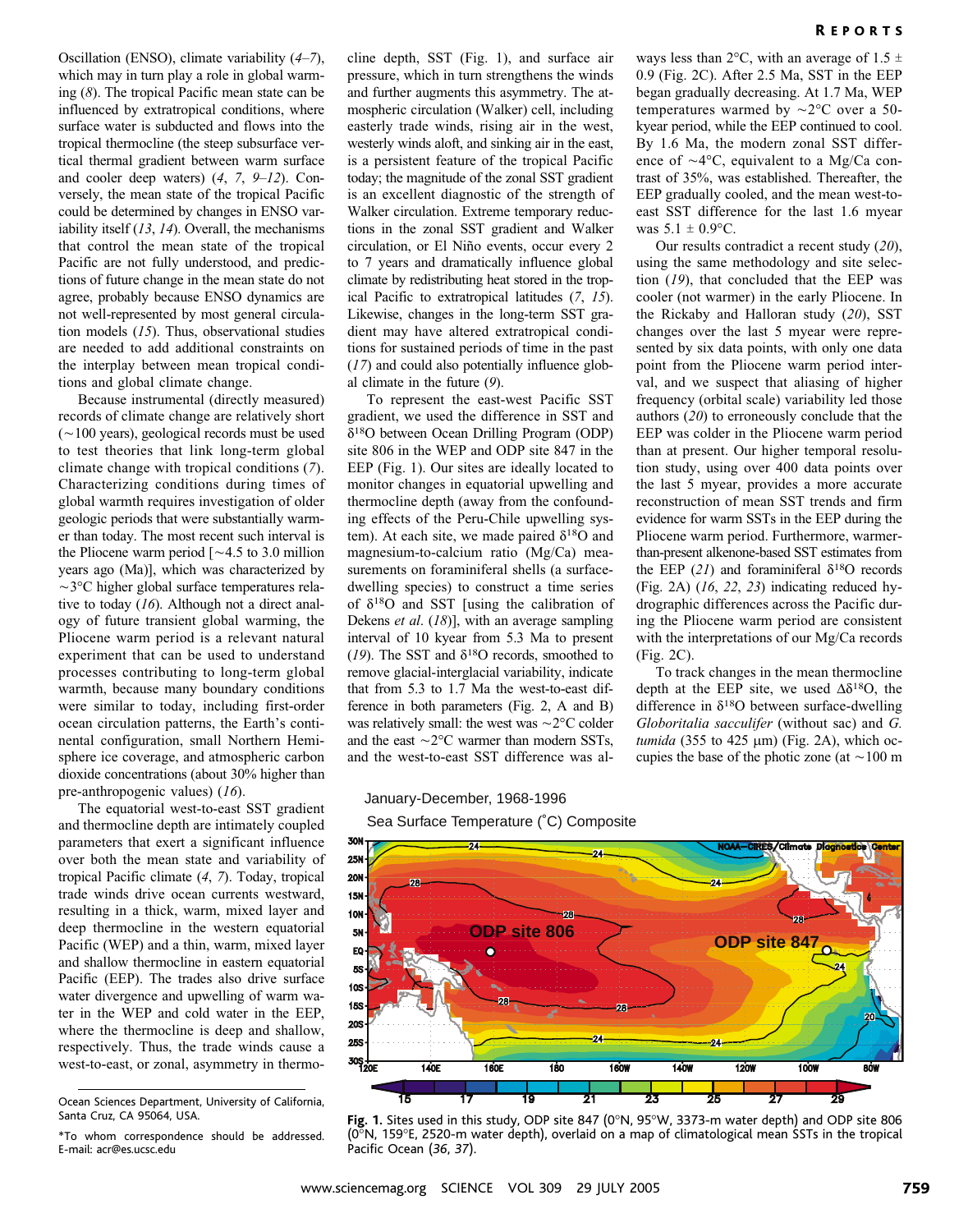Oscillation (ENSO), climate variability (4–7), which may in turn play a role in global warming (8). The tropical Pacific mean state can be influenced by extratropical conditions, where surface water is subducted and flows into the tropical thermocline (the steep subsurface vertical thermal gradient between warm surface and cooler deep waters) (4, 7, 9–12). Conversely, the mean state of the tropical Pacific could be determined by changes in ENSO variability itself  $(13, 14)$ . Overall, the mechanisms that control the mean state of the tropical Pacific are not fully understood, and predictions of future change in the mean state do not agree, probably because ENSO dynamics are not well-represented by most general circulation models (15). Thus, observational studies are needed to add additional constraints on the interplay between mean tropical conditions and global climate change.

Because instrumental (directly measured) records of climate change are relatively short  $(\sim 100$  years), geological records must be used to test theories that link long-term global climate change with tropical conditions (7). Characterizing conditions during times of global warmth requires investigation of older geologic periods that were substantially warmer than today. The most recent such interval is the Pliocene warm period  $\sim 4.5$  to 3.0 million years ago (Ma)], which was characterized by  $\sim$ 3 $\degree$ C higher global surface temperatures relative to today (16). Although not a direct analogy of future transient global warming, the Pliocene warm period is a relevant natural experiment that can be used to understand processes contributing to long-term global warmth, because many boundary conditions were similar to today, including first-order ocean circulation patterns, the Earth's continental configuration, small Northern Hemisphere ice coverage, and atmospheric carbon dioxide concentrations (about 30% higher than pre-anthropogenic values) (16).

The equatorial west-to-east SST gradient and thermocline depth are intimately coupled parameters that exert a significant influence over both the mean state and variability of tropical Pacific climate (4, 7). Today, tropical trade winds drive ocean currents westward, resulting in a thick, warm, mixed layer and deep thermocline in the western equatorial Pacific (WEP) and a thin, warm, mixed layer and shallow thermocline in eastern equatorial Pacific (EEP). The trades also drive surface water divergence and upwelling of warm water in the WEP and cold water in the EEP, where the thermocline is deep and shallow, respectively. Thus, the trade winds cause a west-to-east, or zonal, asymmetry in thermocline depth, SST (Fig. 1), and surface air pressure, which in turn strengthens the winds and further augments this asymmetry. The atmospheric circulation (Walker) cell, including easterly trade winds, rising air in the west, westerly winds aloft, and sinking air in the east, is a persistent feature of the tropical Pacific today; the magnitude of the zonal SST gradient is an excellent diagnostic of the strength of Walker circulation. Extreme temporary reductions in the zonal SST gradient and Walker circulation, or El Niño events, occur every 2 to 7 years and dramatically influence global climate by redistributing heat stored in the tropical Pacific to extratropical latitudes (7, 15). Likewise, changes in the long-term SST gradient may have altered extratropical conditions for sustained periods of time in the past (17) and could also potentially influence global climate in the future (9).

To represent the east-west Pacific SST gradient, we used the difference in SST and  $\delta^{18}$ O between Ocean Drilling Program (ODP) site 806 in the WEP and ODP site 847 in the EEP (Fig. 1). Our sites are ideally located to monitor changes in equatorial upwelling and thermocline depth (away from the confounding effects of the Peru-Chile upwelling system). At each site, we made paired  $\delta^{18}O$  and magnesium-to-calcium ratio (Mg/Ca) measurements on foraminiferal shells (a surfacedwelling species) to construct a time series of  $\delta^{18}$ O and SST [using the calibration of Dekens et al.  $(18)$ ], with an average sampling interval of 10 kyear from 5.3 Ma to present (19). The SST and  $\delta^{18}$ O records, smoothed to remove glacial-interglacial variability, indicate that from 5.3 to 1.7 Ma the west-to-east difference in both parameters (Fig. 2, A and B) was relatively small: the west was  $\sim$  2 $\rm{°C}$  colder and the east  $\sim$  2 $\degree$ C warmer than modern SSTs, and the west-to-east SST difference was always less than 2 $\degree$ C, with an average of 1.5  $\pm$ 0.9 (Fig. 2C). After 2.5 Ma, SST in the EEP began gradually decreasing. At 1.7 Ma, WEP temperatures warmed by  $\sim$ 2°C over a 50kyear period, while the EEP continued to cool. By 1.6 Ma, the modern zonal SST difference of  $\sim$ 4°C, equivalent to a Mg/Ca contrast of 35%, was established. Thereafter, the EEP gradually cooled, and the mean west-toeast SST difference for the last 1.6 myear was  $5.1 \pm 0.9$ °C.

Our results contradict a recent study (20), using the same methodology and site selection (19), that concluded that the EEP was cooler (not warmer) in the early Pliocene. In the Rickaby and Halloran study (20), SST changes over the last 5 myear were represented by six data points, with only one data point from the Pliocene warm period interval, and we suspect that aliasing of higher frequency (orbital scale) variability led those authors (20) to erroneously conclude that the EEP was colder in the Pliocene warm period than at present. Our higher temporal resolution study, using over 400 data points over the last 5 myear, provides a more accurate reconstruction of mean SST trends and firm evidence for warm SSTs in the EEP during the Pliocene warm period. Furthermore, warmerthan-present alkenone-based SST estimates from the EEP (21) and foraminiferal  $\delta^{18}$ O records (Fig. 2A) (16, 22, 23) indicating reduced hydrographic differences across the Pacific during the Pliocene warm period are consistent with the interpretations of our Mg/Ca records (Fig. 2C).

To track changes in the mean thermocline depth at the EEP site, we used  $\Delta \delta^{18}$ O, the difference in  $\delta^{18}$ O between surface-dwelling Globoritalia sacculifer (without sac) and G. tumida (355 to 425  $\mu$ m) (Fig. 2A), which occupies the base of the photic zone (at  $\sim$  100 m

Pacific Ocean (36, 37).

## January-December, 1968-1996 Sea Surface Temperature (˚C) Composite



(0-N, 159-E, 2520-m water depth), overlaid on a map of climatological mean SSTs in the tropical

Ocean Sciences Department, University of California, Santa Cruz, CA 95064, USA.

<sup>\*</sup>To whom correspondence should be addressed. E-mail: acr@es.ucsc.edu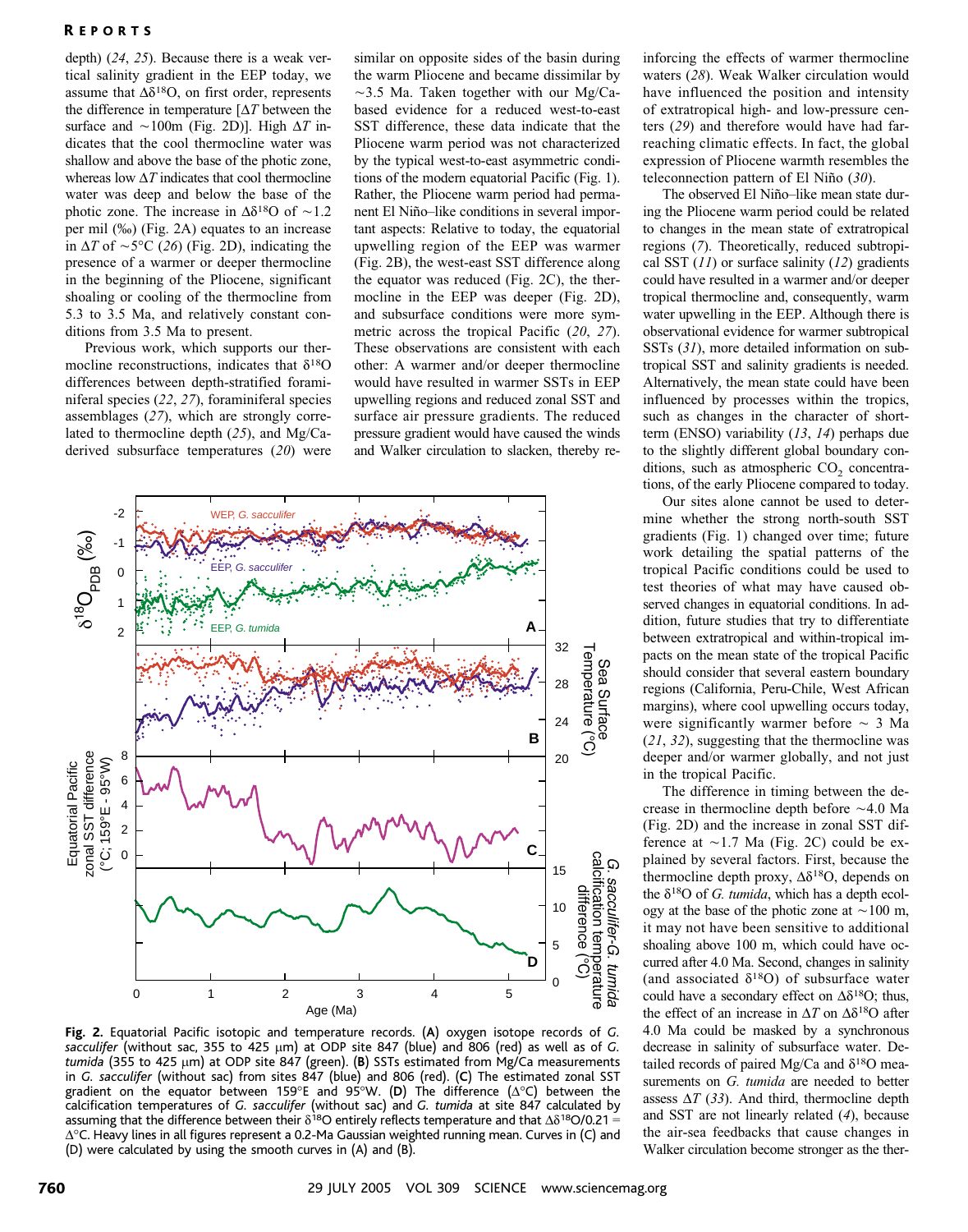### R EPORTS

depth) (24, 25). Because there is a weak vertical salinity gradient in the EEP today, we assume that  $\Delta \delta^{18}O$ , on first order, represents the difference in temperature  $[\Delta T]$  between the surface and  $\sim$ 100m (Fig. 2D)]. High  $\Delta T$  indicates that the cool thermocline water was shallow and above the base of the photic zone, whereas low  $\Delta T$  indicates that cool thermocline water was deep and below the base of the photic zone. The increase in  $\Delta \delta^{18}$ O of  $\sim$ 1.2 per mil  $(\%$ ) (Fig. 2A) equates to an increase in  $\Delta T$  of  $\sim$  5°C (26) (Fig. 2D), indicating the presence of a warmer or deeper thermocline in the beginning of the Pliocene, significant shoaling or cooling of the thermocline from 5.3 to 3.5 Ma, and relatively constant conditions from 3.5 Ma to present.

Previous work, which supports our thermocline reconstructions, indicates that  $\delta^{18}O$ differences between depth-stratified foraminiferal species (22, 27), foraminiferal species assemblages (27), which are strongly correlated to thermocline depth (25), and Mg/Caderived subsurface temperatures (20) were

similar on opposite sides of the basin during the warm Pliocene and became dissimilar by  $\sim$ 3.5 Ma. Taken together with our Mg/Cabased evidence for a reduced west-to-east SST difference, these data indicate that the Pliocene warm period was not characterized by the typical west-to-east asymmetric conditions of the modern equatorial Pacific (Fig. 1). Rather, the Pliocene warm period had permanent El Niño–like conditions in several important aspects: Relative to today, the equatorial upwelling region of the EEP was warmer (Fig. 2B), the west-east SST difference along the equator was reduced (Fig. 2C), the thermocline in the EEP was deeper (Fig. 2D), and subsurface conditions were more symmetric across the tropical Pacific (20, 27). These observations are consistent with each other: A warmer and/or deeper thermocline would have resulted in warmer SSTs in EEP upwelling regions and reduced zonal SST and surface air pressure gradients. The reduced pressure gradient would have caused the winds and Walker circulation to slacken, thereby re-



Fig. 2. Equatorial Pacific isotopic and temperature records. (A) oxygen isotope records of G. sacculifer (without sac, 355 to 425  $\mu$ m) at ODP site 847 (blue) and 806 (red) as well as of G. tumida (355 to 425  $\mu$ m) at ODP site 847 (green). (B) SSTs estimated from Mg/Ca measurements in G. sacculifer (without sac) from sites 847 (blue) and 806 (red). (C) The estimated zonal SST gradient on the equator between 159°E and 95°W. (D) The difference  $(\Delta^{\circ}C)$  between the calcification temperatures of G. sacculifer (without sac) and G. tumida at site 847 calculated by assuming that the difference between their  $\delta^{18}$ O entirely reflects temperature and that  $\Delta \delta^{18}$ O/0.21 =  $\Delta$ °C. Heavy lines in all figures represent a 0.2-Ma Gaussian weighted running mean. Curves in (C) and (D) were calculated by using the smooth curves in (A) and (B).

inforcing the effects of warmer thermocline waters (28). Weak Walker circulation would have influenced the position and intensity of extratropical high- and low-pressure centers (29) and therefore would have had farreaching climatic effects. In fact, the global expression of Pliocene warmth resembles the teleconnection pattern of El Niño  $(30)$ .

The observed El Niño-like mean state during the Pliocene warm period could be related to changes in the mean state of extratropical regions (7). Theoretically, reduced subtropical SST  $(11)$  or surface salinity  $(12)$  gradients could have resulted in a warmer and/or deeper tropical thermocline and, consequently, warm water upwelling in the EEP. Although there is observational evidence for warmer subtropical SSTs (31), more detailed information on subtropical SST and salinity gradients is needed. Alternatively, the mean state could have been influenced by processes within the tropics, such as changes in the character of shortterm (ENSO) variability (13, 14) perhaps due to the slightly different global boundary conditions, such as atmospheric  $CO<sub>2</sub>$  concentrations, of the early Pliocene compared to today.

Our sites alone cannot be used to determine whether the strong north-south SST gradients (Fig. 1) changed over time; future work detailing the spatial patterns of the tropical Pacific conditions could be used to test theories of what may have caused observed changes in equatorial conditions. In addition, future studies that try to differentiate between extratropical and within-tropical impacts on the mean state of the tropical Pacific should consider that several eastern boundary regions (California, Peru-Chile, West African margins), where cool upwelling occurs today, were significantly warmer before  $\sim$  3 Ma (21, 32), suggesting that the thermocline was deeper and/or warmer globally, and not just in the tropical Pacific.

The difference in timing between the decrease in thermocline depth before  $\sim$ 4.0 Ma (Fig. 2D) and the increase in zonal SST difference at  $\sim$ 1.7 Ma (Fig. 2C) could be explained by several factors. First, because the thermocline depth proxy,  $\Delta \delta^{18}$ O, depends on the  $\delta^{18}$ O of G. tumida, which has a depth ecology at the base of the photic zone at  $\sim$ 100 m, it may not have been sensitive to additional shoaling above 100 m, which could have occurred after 4.0 Ma. Second, changes in salinity (and associated  $\delta^{18}O$ ) of subsurface water could have a secondary effect on  $\Delta \delta^{18}O$ ; thus, the effect of an increase in  $\Delta T$  on  $\Delta \delta^{18}$ O after 4.0 Ma could be masked by a synchronous decrease in salinity of subsurface water. Detailed records of paired Mg/Ca and  $\delta^{18}$ O measurements on G. tumida are needed to better assess  $\Delta T$  (33). And third, thermocline depth and SST are not linearly related (4), because the air-sea feedbacks that cause changes in Walker circulation become stronger as the ther